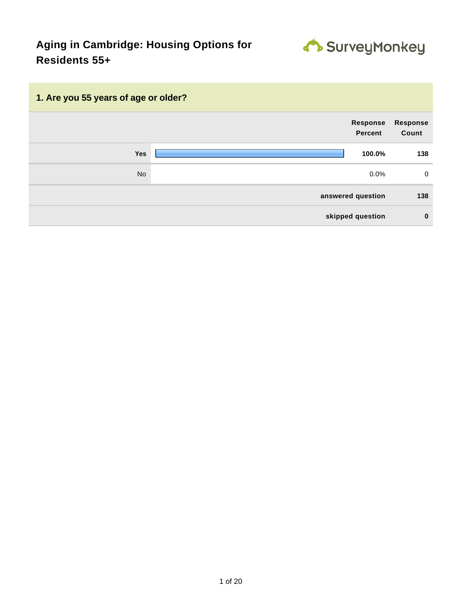

# **1. Are you 55 years of age or older? Response Percent Response Count Yes 100.0% 138** No  $0.0\%$  0.0% 0 **answered question 138 skipped question 0**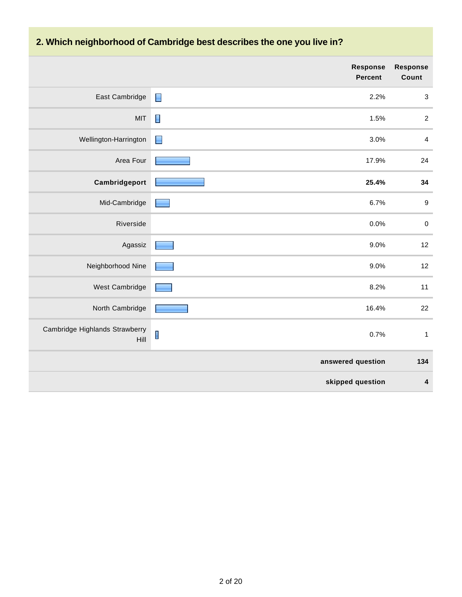# **2. Which neighborhood of Cambridge best describes the one you live in?**

|                                        | <b>Response</b><br><b>Percent</b> | <b>Response</b><br>Count  |
|----------------------------------------|-----------------------------------|---------------------------|
| East Cambridge                         | $\blacksquare$<br>2.2%            | $\ensuremath{\mathsf{3}}$ |
| <b>MIT</b>                             | 1.5%                              | $\overline{c}$            |
| Wellington-Harrington                  | 3.0%<br>$\blacksquare$            | $\overline{4}$            |
| Area Four                              | 17.9%                             | 24                        |
| Cambridgeport                          | 25.4%                             | 34                        |
| Mid-Cambridge                          | 6.7%                              | $\boldsymbol{9}$          |
| Riverside                              | 0.0%                              | $\pmb{0}$                 |
| Agassiz                                | 9.0%                              | 12                        |
| Neighborhood Nine                      | 9.0%                              | 12                        |
| West Cambridge                         | 8.2%                              | 11                        |
| North Cambridge                        | 16.4%                             | 22                        |
| Cambridge Highlands Strawberry<br>Hill | 0.7%                              | $\mathbf{1}$              |
|                                        | answered question                 | 134                       |
|                                        | skipped question                  | 4                         |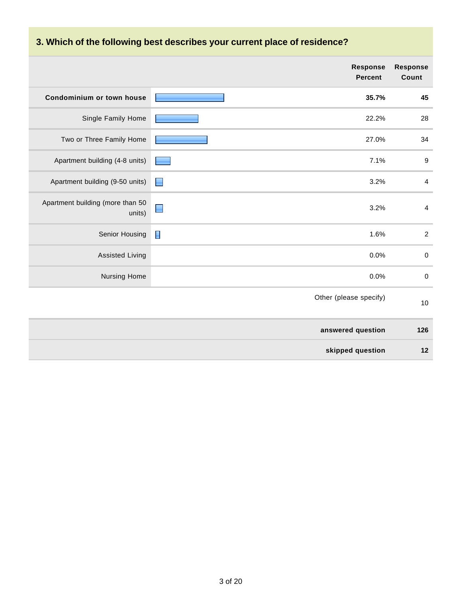# **3. Which of the following best describes your current place of residence?**

|                                            | <b>Response</b><br><b>Percent</b> | <b>Response</b><br>Count |
|--------------------------------------------|-----------------------------------|--------------------------|
| Condominium or town house                  | 35.7%                             | 45                       |
| Single Family Home                         | 22.2%                             | 28                       |
| Two or Three Family Home                   | 27.0%                             | 34                       |
| Apartment building (4-8 units)             | 7.1%                              | $9\,$                    |
| Apartment building (9-50 units)            | 3.2%<br>Е                         | $\overline{4}$           |
| Apartment building (more than 50<br>units) | 3.2%                              | $\overline{4}$           |
| Senior Housing                             | 1.6%                              | $\overline{2}$           |
| <b>Assisted Living</b>                     | 0.0%                              | $\pmb{0}$                |
| Nursing Home                               | 0.0%                              | $\pmb{0}$                |
|                                            | Other (please specify)            | 10                       |
|                                            | answered question                 | 126                      |
|                                            | skipped question                  | 12                       |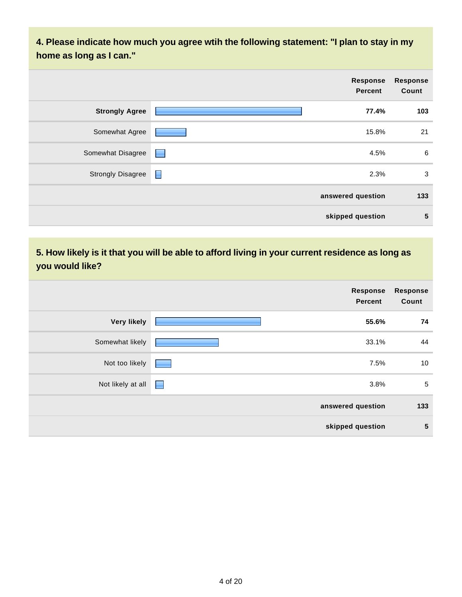**4. Please indicate how much you agree wtih the following statement: "I plan to stay in my home as long as I can."**

|                          |                  | <b>Response</b><br><b>Percent</b> | <b>Response</b><br>Count |
|--------------------------|------------------|-----------------------------------|--------------------------|
| <b>Strongly Agree</b>    |                  | 77.4%                             | 103                      |
| Somewhat Agree           |                  | 15.8%                             | 21                       |
| Somewhat Disagree        | <b>Formation</b> | 4.5%                              | 6                        |
| <b>Strongly Disagree</b> | $\blacksquare$   | 2.3%                              | 3                        |
|                          |                  | answered question                 | 133                      |
|                          |                  | skipped question                  | $\sqrt{5}$               |

### **5. How likely is it that you will be able to afford living in your current residence as long as you would like?**

|                    | Response<br><b>Percent</b> | <b>Response</b><br>Count |
|--------------------|----------------------------|--------------------------|
| <b>Very likely</b> | 55.6%                      | 74                       |
| Somewhat likely    | 33.1%                      | 44                       |
| Not too likely     | 7.5%                       | 10                       |
| Not likely at all  | 3.8%<br><b>Alberta</b>     | $\sqrt{5}$               |
|                    | answered question          | 133                      |
|                    | skipped question           | $\sqrt{5}$               |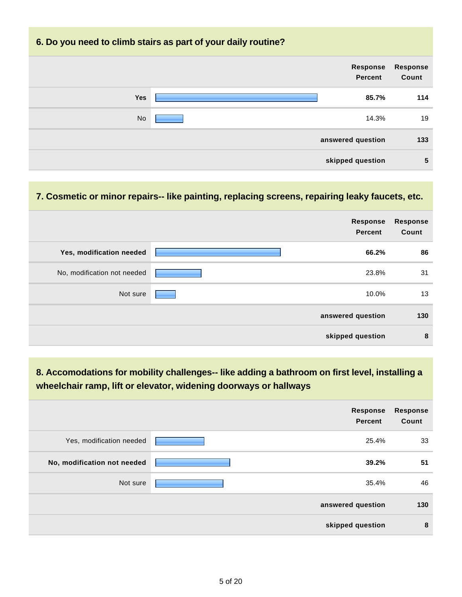#### **6. Do you need to climb stairs as part of your daily routine?**

| <b>Response</b><br>Count | Response<br><b>Percent</b> |           |
|--------------------------|----------------------------|-----------|
| 114                      | 85.7%                      | Yes       |
| 19                       | 14.3%                      | <b>No</b> |
| 133                      | answered question          |           |
| $\sqrt{5}$               | skipped question           |           |

#### **7. Cosmetic or minor repairs-- like painting, replacing screens, repairing leaky faucets, etc.**

|                             | <b>Response</b><br><b>Percent</b> | Response<br>Count |
|-----------------------------|-----------------------------------|-------------------|
| Yes, modification needed    | 66.2%                             | 86                |
| No, modification not needed | 23.8%                             | 31                |
| Not sure                    | 10.0%                             | 13                |
|                             | answered question                 | 130               |
|                             | skipped question                  | 8                 |

### **8. Accomodations for mobility challenges-- like adding a bathroom on first level, installing a wheelchair ramp, lift or elevator, widening doorways or hallways**

|                             | <b>Response</b><br>Percent | <b>Response</b><br>Count |
|-----------------------------|----------------------------|--------------------------|
| Yes, modification needed    | 25.4%                      | 33                       |
| No, modification not needed | 39.2%                      | 51                       |
| Not sure                    | 35.4%                      | 46                       |
|                             | answered question          | 130                      |
|                             | skipped question           | 8                        |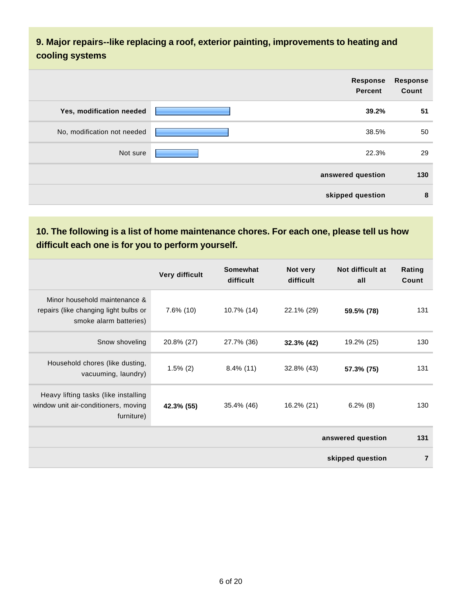### **9. Major repairs--like replacing a roof, exterior painting, improvements to heating and cooling systems**

|                             | <b>Response</b><br><b>Percent</b> | <b>Response</b><br>Count |
|-----------------------------|-----------------------------------|--------------------------|
| Yes, modification needed    | 39.2%                             | 51                       |
| No, modification not needed | 38.5%                             | 50                       |
| Not sure                    | 22.3%                             | 29                       |
|                             | answered question                 | 130                      |
|                             | skipped question                  | 8                        |

## **10. The following is a list of home maintenance chores. For each one, please tell us how difficult each one is for you to perform yourself.**

|                                                                                                  | Very difficult | <b>Somewhat</b><br>difficult | Not very<br>difficult | Not difficult at<br>all | Rating<br>Count |
|--------------------------------------------------------------------------------------------------|----------------|------------------------------|-----------------------|-------------------------|-----------------|
| Minor household maintenance &<br>repairs (like changing light bulbs or<br>smoke alarm batteries) | $7.6\%$ (10)   | 10.7% (14)                   | 22.1% (29)            | 59.5% (78)              | 131             |
| Snow shoveling                                                                                   | 20.8% (27)     | 27.7% (36)                   | 32.3% (42)            | 19.2% (25)              | 130             |
| Household chores (like dusting,<br>vacuuming, laundry)                                           | $1.5\%$ (2)    | $8.4\%$ (11)                 | 32.8% (43)            | 57.3% (75)              | 131             |
| Heavy lifting tasks (like installing<br>window unit air-conditioners, moving<br>furniture)       | 42.3% (55)     | 35.4% (46)                   | 16.2% (21)            | $6.2\%$ (8)             | 130             |
|                                                                                                  |                |                              |                       | answered question       | 131             |
|                                                                                                  |                |                              |                       | skipped question        | $\overline{7}$  |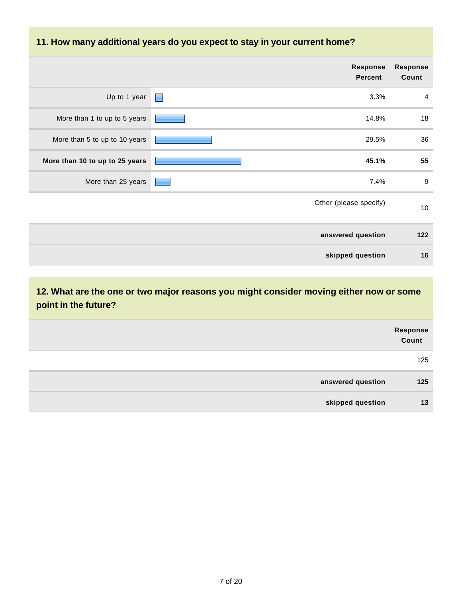#### **11. How many additional years do you expect to stay in your current home?**

|                                | <b>Response</b><br>Percent | <b>Response</b><br>Count |
|--------------------------------|----------------------------|--------------------------|
| Up to 1 year<br>E              | 3.3%                       | $\overline{4}$           |
| More than 1 to up to 5 years   | 14.8%                      | 18                       |
| More than 5 to up to 10 years  | 29.5%                      | 36                       |
| More than 10 to up to 25 years | 45.1%                      | 55                       |
| More than 25 years             | 7.4%                       | $\boldsymbol{9}$         |
|                                | Other (please specify)     | 10                       |
|                                | answered question          | 122                      |
|                                | skipped question           | 16                       |

**12. What are the one or two major reasons you might consider moving either now or some point in the future?**

|                   | Response<br>Count |
|-------------------|-------------------|
|                   | 125               |
| answered question | 125               |
| skipped question  | 13                |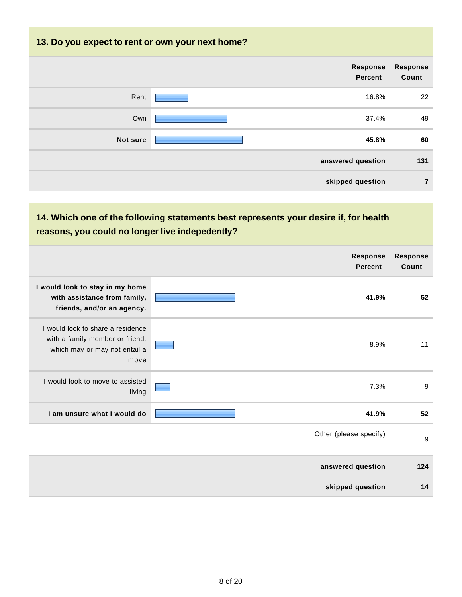#### **13. Do you expect to rent or own your next home?**

|          | Response<br>Percent | Response<br>Count |
|----------|---------------------|-------------------|
| Rent     | 16.8%               | 22                |
| Own      | 37.4%               | 49                |
| Not sure | 45.8%               | 60                |
|          | answered question   | 131               |
|          | skipped question    | $\overline{7}$    |

### **14. Which one of the following statements best represents your desire if, for health reasons, you could no longer live indepedently?**

|                                                                                                               | Response<br><b>Percent</b> | <b>Response</b><br>Count |
|---------------------------------------------------------------------------------------------------------------|----------------------------|--------------------------|
| I would look to stay in my home<br>with assistance from family,<br>friends, and/or an agency.                 | 41.9%                      | 52                       |
| I would look to share a residence<br>with a family member or friend,<br>which may or may not entail a<br>move | 8.9%                       | 11                       |
| I would look to move to assisted<br>living                                                                    | 7.3%                       | 9                        |
| I am unsure what I would do                                                                                   | 41.9%                      | 52                       |
|                                                                                                               | Other (please specify)     | 9                        |
|                                                                                                               | answered question          | 124                      |
|                                                                                                               | skipped question           | 14                       |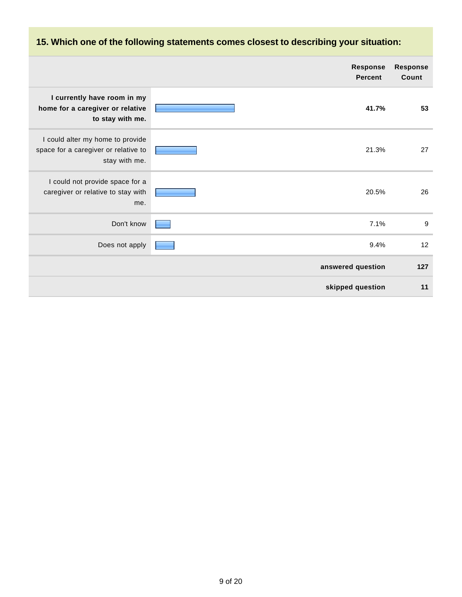### **15. Which one of the following statements comes closest to describing your situation:**

|                                                                                           | <b>Response</b><br><b>Percent</b> | <b>Response</b><br>Count |
|-------------------------------------------------------------------------------------------|-----------------------------------|--------------------------|
| I currently have room in my<br>home for a caregiver or relative<br>to stay with me.       | 41.7%                             | 53                       |
| I could alter my home to provide<br>space for a caregiver or relative to<br>stay with me. | 21.3%                             | 27                       |
| I could not provide space for a<br>caregiver or relative to stay with<br>me.              | 20.5%                             | 26                       |
| Don't know                                                                                | 7.1%                              | 9                        |
| Does not apply                                                                            | 9.4%                              | 12                       |
|                                                                                           | answered question                 | 127                      |
|                                                                                           | skipped question                  | 11                       |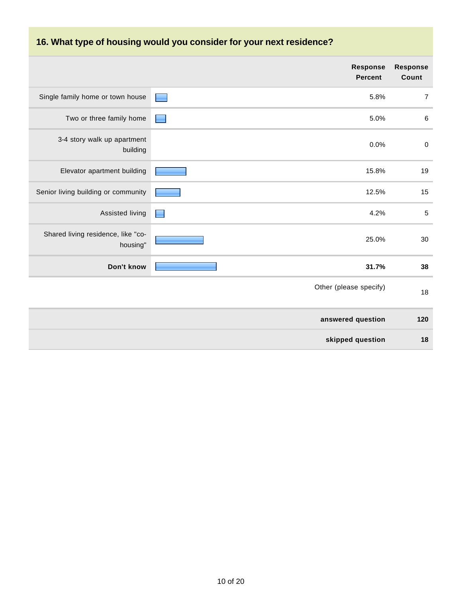## **16. What type of housing would you consider for your next residence?**

|                                                | <b>Response</b><br><b>Percent</b> | <b>Response</b><br>Count |
|------------------------------------------------|-----------------------------------|--------------------------|
| Single family home or town house               | 5.8%                              | $\overline{7}$           |
| Two or three family home                       | 5.0%                              | $\,6\,$                  |
| 3-4 story walk up apartment<br>building        | 0.0%                              | $\pmb{0}$                |
| Elevator apartment building                    | 15.8%                             | 19                       |
| Senior living building or community            | 12.5%                             | 15                       |
| Assisted living                                | 4.2%                              | 5                        |
| Shared living residence, like "co-<br>housing" | 25.0%                             | 30                       |
| Don't know                                     | 31.7%                             | 38                       |
|                                                | Other (please specify)            | 18                       |
|                                                | answered question                 | 120                      |
|                                                | skipped question                  | 18                       |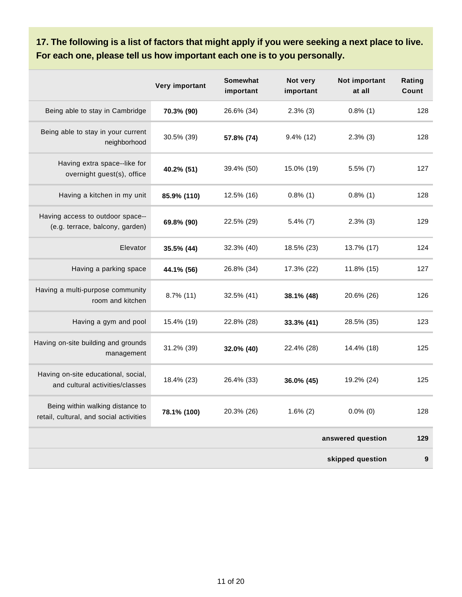**17. The following is a list of factors that might apply if you were seeking a next place to live. For each one, please tell us how important each one is to you personally.**

|                                                                             | Very important | <b>Somewhat</b><br>important | Not very<br>important | Not important<br>at all | Rating<br>Count  |
|-----------------------------------------------------------------------------|----------------|------------------------------|-----------------------|-------------------------|------------------|
| Being able to stay in Cambridge                                             | 70.3% (90)     | 26.6% (34)                   | $2.3\%$ (3)           | $0.8\%$ (1)             | 128              |
| Being able to stay in your current<br>neighborhood                          | 30.5% (39)     | 57.8% (74)                   | $9.4\%$ (12)          | $2.3\%$ (3)             | 128              |
| Having extra space--like for<br>overnight guest(s), office                  | 40.2% (51)     | 39.4% (50)                   | 15.0% (19)            | $5.5\%$ (7)             | 127              |
| Having a kitchen in my unit                                                 | 85.9% (110)    | 12.5% (16)                   | $0.8\%$ (1)           | $0.8\%$ (1)             | 128              |
| Having access to outdoor space--<br>(e.g. terrace, balcony, garden)         | 69.8% (90)     | 22.5% (29)                   | $5.4\%$ (7)           | $2.3\%$ (3)             | 129              |
| Elevator                                                                    | 35.5% (44)     | 32.3% (40)                   | 18.5% (23)            | 13.7% (17)              | 124              |
| Having a parking space                                                      | 44.1% (56)     | 26.8% (34)                   | 17.3% (22)            | 11.8% (15)              | 127              |
| Having a multi-purpose community<br>room and kitchen                        | $8.7\%$ (11)   | 32.5% (41)                   | 38.1% (48)            | 20.6% (26)              | 126              |
| Having a gym and pool                                                       | 15.4% (19)     | 22.8% (28)                   | 33.3% (41)            | 28.5% (35)              | 123              |
| Having on-site building and grounds<br>management                           | 31.2% (39)     | 32.0% (40)                   | 22.4% (28)            | 14.4% (18)              | 125              |
| Having on-site educational, social,<br>and cultural activities/classes      | 18.4% (23)     | 26.4% (33)                   | 36.0% (45)            | 19.2% (24)              | 125              |
| Being within walking distance to<br>retail, cultural, and social activities | 78.1% (100)    | 20.3% (26)                   | $1.6\%$ (2)           | $0.0\%$ (0)             | 128              |
|                                                                             |                |                              |                       | answered question       | 129              |
|                                                                             |                |                              |                       | skipped question        | $\boldsymbol{9}$ |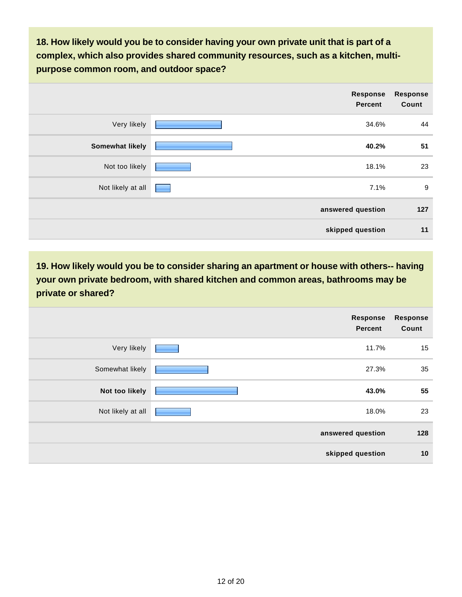**18. How likely would you be to consider having your own private unit that is part of a complex, which also provides shared community resources, such as a kitchen, multipurpose common room, and outdoor space?**

|                        | Response<br><b>Percent</b> | <b>Response</b><br>Count |
|------------------------|----------------------------|--------------------------|
| Very likely            | 34.6%                      | 44                       |
| <b>Somewhat likely</b> | 40.2%                      | 51                       |
| Not too likely         | 18.1%                      | 23                       |
| Not likely at all      | 7.1%                       | 9                        |
|                        | answered question          | 127                      |
|                        | skipped question           | 11                       |

**19. How likely would you be to consider sharing an apartment or house with others-- having your own private bedroom, with shared kitchen and common areas, bathrooms may be private or shared?**

|                   | Response<br><b>Percent</b> | <b>Response</b><br>Count |
|-------------------|----------------------------|--------------------------|
| Very likely       | 11.7%                      | 15                       |
| Somewhat likely   | 27.3%                      | 35                       |
| Not too likely    | 43.0%                      | 55                       |
| Not likely at all | 18.0%                      | 23                       |
|                   | answered question          | 128                      |
|                   | skipped question           | 10                       |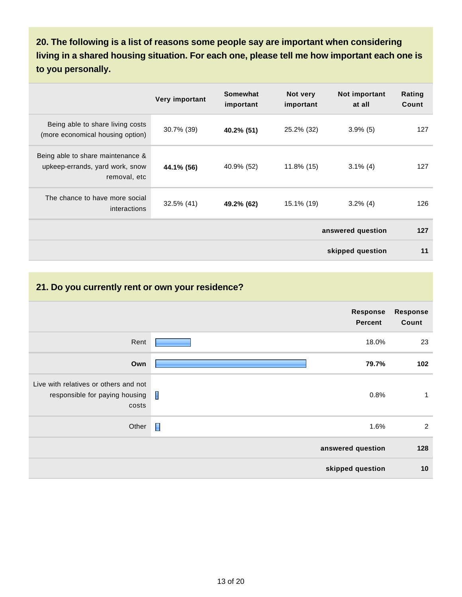**20. The following is a list of reasons some people say are important when considering living in a shared housing situation. For each one, please tell me how important each one is to you personally.**

|                                                                                      | Very important | Somewhat<br>important | Not very<br>important | Not important<br>at all | Rating<br>Count |
|--------------------------------------------------------------------------------------|----------------|-----------------------|-----------------------|-------------------------|-----------------|
| Being able to share living costs<br>(more economical housing option)                 | $30.7\%$ (39)  | 40.2% (51)            | 25.2% (32)            | $3.9\%$ (5)             | 127             |
| Being able to share maintenance &<br>upkeep-errands, yard work, snow<br>removal, etc | 44.1% (56)     | 40.9% (52)            | 11.8% (15)            | $3.1\%$ (4)             | 127             |
| The chance to have more social<br>interactions                                       | 32.5% (41)     | 49.2% (62)            | 15.1% (19)            | $3.2\%$ (4)             | 126             |
|                                                                                      |                |                       |                       | answered question       | 127             |
|                                                                                      |                |                       |                       | skipped question        | 11              |

#### **21. Do you currently rent or own your residence?**

|                                                                                                                              | Response<br><b>Percent</b> | <b>Response</b><br>Count |
|------------------------------------------------------------------------------------------------------------------------------|----------------------------|--------------------------|
| Rent                                                                                                                         | 18.0%                      | 23                       |
| Own                                                                                                                          | 79.7%                      | 102                      |
| Live with relatives or others and not<br>responsible for paying housing $\begin{array}{ c c }\n\hline\n\end{array}$<br>costs | 0.8%                       | 1                        |
| Other                                                                                                                        | $\Box$<br>1.6%             | $\overline{2}$           |
|                                                                                                                              | answered question          | 128                      |
|                                                                                                                              | skipped question           | 10                       |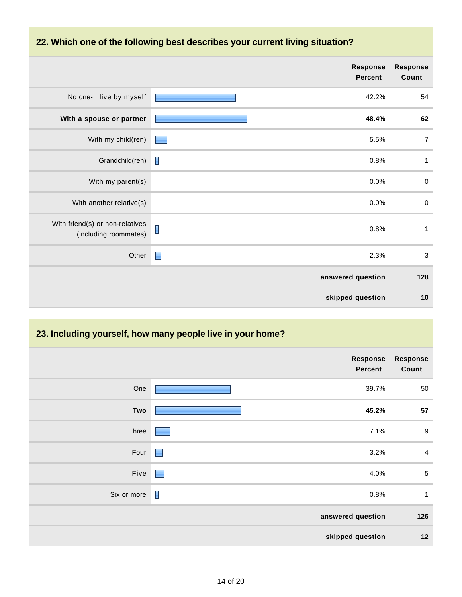

|                                                          | <b>Response</b><br><b>Percent</b> | <b>Response</b><br>Count |
|----------------------------------------------------------|-----------------------------------|--------------------------|
| No one- I live by myself                                 | 42.2%                             | 54                       |
| With a spouse or partner                                 | 48.4%                             | 62                       |
| With my child(ren)                                       | 5.5%                              | $\overline{7}$           |
| Grandchild(ren)                                          | I<br>0.8%                         | $\mathbf{1}$             |
| With my parent(s)                                        | 0.0%                              | $\pmb{0}$                |
| With another relative(s)                                 | 0.0%                              | $\pmb{0}$                |
| With friend(s) or non-relatives<br>(including roommates) | I<br>0.8%                         | $\mathbf 1$              |
| Other                                                    | $\blacksquare$<br>2.3%            | $\sqrt{3}$               |
|                                                          | answered question                 | 128                      |
|                                                          | skipped question                  | 10                       |

## **23. Including yourself, how many people live in your home?**

|             |                | Response<br><b>Percent</b> | <b>Response</b><br>Count |
|-------------|----------------|----------------------------|--------------------------|
| One         |                | 39.7%                      | 50                       |
| Two         |                | 45.2%                      | 57                       |
| Three       |                | 7.1%                       | $9\,$                    |
| Four        | $\blacksquare$ | 3.2%                       | $\overline{4}$           |
| Five        | H              | 4.0%                       | $\sqrt{5}$               |
| Six or more | $\mathbf{I}$   | 0.8%                       | $\mathbf{1}$             |
|             |                | answered question          | 126                      |
|             |                | skipped question           | 12                       |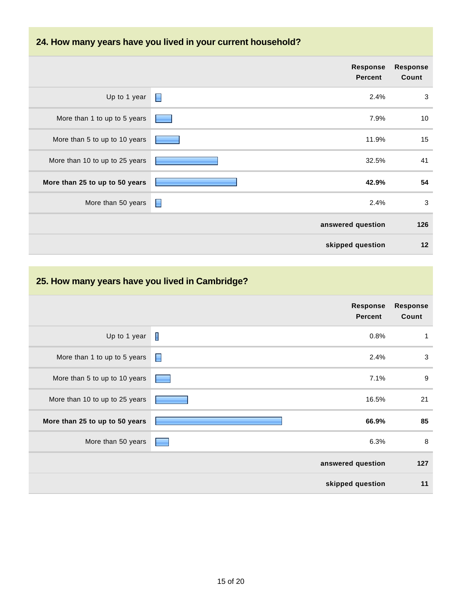### **24. How many years have you lived in your current household?**

|                                | <b>Response</b><br><b>Percent</b> | <b>Response</b><br>Count |
|--------------------------------|-----------------------------------|--------------------------|
| Up to 1 year                   | $\blacksquare$<br>2.4%            | 3                        |
| More than 1 to up to 5 years   | 7.9%                              | 10                       |
| More than 5 to up to 10 years  | 11.9%                             | 15                       |
| More than 10 to up to 25 years | 32.5%                             | 41                       |
| More than 25 to up to 50 years | 42.9%                             | 54                       |
| More than 50 years             | 2.4%<br>Н                         | 3                        |
|                                | answered question                 | 126                      |
|                                | skipped question                  | 12                       |

## **25. How many years have you lived in Cambridge?**

|                                |   | <b>Response</b><br><b>Percent</b> | <b>Response</b><br>Count |
|--------------------------------|---|-----------------------------------|--------------------------|
| Up to 1 year                   | Ш | 0.8%                              | 1                        |
| More than 1 to up to 5 years   | E | 2.4%                              | $\sqrt{3}$               |
| More than 5 to up to 10 years  |   | 7.1%                              | $\boldsymbol{9}$         |
| More than 10 to up to 25 years |   | 16.5%                             | 21                       |
| More than 25 to up to 50 years |   | 66.9%                             | 85                       |
| More than 50 years             |   | 6.3%                              | 8                        |
|                                |   | answered question                 | 127                      |
|                                |   | skipped question                  | 11                       |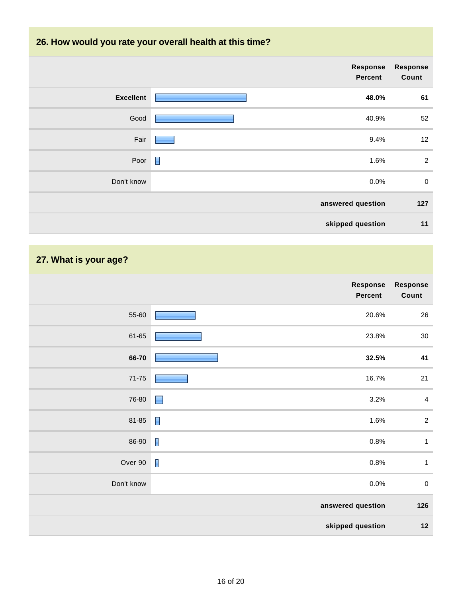## **26. How would you rate your overall health at this time?**

|                  | Response<br><b>Percent</b> | <b>Response</b><br>Count |
|------------------|----------------------------|--------------------------|
| <b>Excellent</b> | 48.0%                      | 61                       |
| Good             | 40.9%                      | 52                       |
| Fair             | 9.4%                       | 12                       |
| Poor             | Π<br>1.6%                  | $\overline{2}$           |
| Don't know       | 0.0%                       | $\pmb{0}$                |
|                  | answered question          | 127                      |
|                  | skipped question           | 11                       |

# **27. What is your age?**

|            | Response<br>Percent    | Response<br>Count |
|------------|------------------------|-------------------|
| 55-60      | 20.6%                  | 26                |
| 61-65      | 23.8%                  | 30                |
| 66-70      | 32.5%                  | 41                |
| $71 - 75$  | 16.7%                  | 21                |
| 76-80      | 3.2%<br>$\blacksquare$ | $\overline{4}$    |
| 81-85      | $\blacksquare$<br>1.6% | $\mathbf 2$       |
| 86-90      | $\mathbf{I}$<br>0.8%   | $\mathbf{1}$      |
| Over 90    | $\blacksquare$<br>0.8% | $\mathbf{1}$      |
| Don't know | 0.0%                   | $\pmb{0}$         |
|            | answered question      | 126               |
|            | skipped question       | $12$              |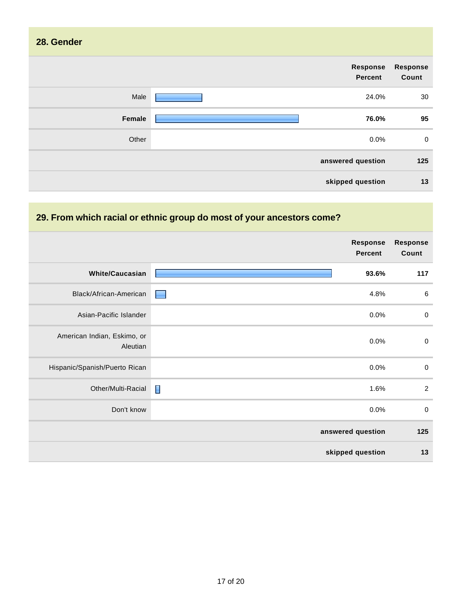| 28. Gender |                                   |                          |
|------------|-----------------------------------|--------------------------|
|            | <b>Response</b><br><b>Percent</b> | <b>Response</b><br>Count |
| Male       | 24.0%                             | 30                       |
| Female     | 76.0%                             | 95                       |
| Other      | 0.0%                              | $\mathbf 0$              |
|            | answered question                 | 125                      |
|            | skipped question                  | 13                       |

# **29. From which racial or ethnic group do most of your ancestors come?**

|                                         | <b>Response</b><br><b>Percent</b> | <b>Response</b><br>Count |
|-----------------------------------------|-----------------------------------|--------------------------|
| <b>White/Caucasian</b>                  | 93.6%                             | 117                      |
| Black/African-American                  | 4.8%                              | $\,6\,$                  |
| Asian-Pacific Islander                  | 0.0%                              | $\mathbf 0$              |
| American Indian, Eskimo, or<br>Aleutian | 0.0%                              | $\boldsymbol{0}$         |
| Hispanic/Spanish/Puerto Rican           | 0.0%                              | $\boldsymbol{0}$         |
| Other/Multi-Racial                      | Π<br>1.6%                         | $\overline{2}$           |
| Don't know                              | 0.0%                              | $\boldsymbol{0}$         |
|                                         | answered question                 | 125                      |
|                                         | skipped question                  | 13                       |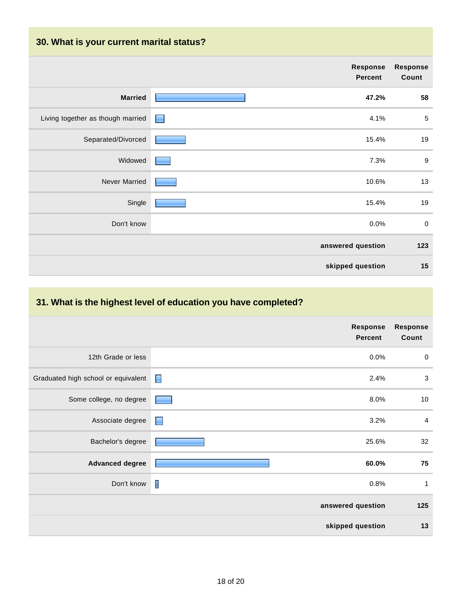## **30. What is your current marital status?**

|                                   | Response<br><b>Percent</b> | <b>Response</b><br>Count |
|-----------------------------------|----------------------------|--------------------------|
| <b>Married</b>                    | 47.2%                      | 58                       |
| Living together as though married | 4.1%<br>E                  | $\sqrt{5}$               |
| Separated/Divorced                | 15.4%                      | 19                       |
| Widowed                           | 7.3%                       | $\boldsymbol{9}$         |
| Never Married                     | 10.6%                      | 13                       |
| Single                            | 15.4%                      | 19                       |
| Don't know                        | 0.0%                       | $\boldsymbol{0}$         |
|                                   | answered question          | 123                      |
|                                   | skipped question           | 15                       |
|                                   |                            |                          |

## **31. What is the highest level of education you have completed?**

|                                     | <b>Response</b><br><b>Percent</b> | <b>Response</b><br>Count |
|-------------------------------------|-----------------------------------|--------------------------|
| 12th Grade or less                  | 0.0%                              | $\mathbf 0$              |
| Graduated high school or equivalent | $\blacksquare$<br>2.4%            | $\mathsf 3$              |
| Some college, no degree             | 8.0%                              | 10                       |
| Associate degree                    | 3.2%                              | $\overline{4}$           |
| Bachelor's degree                   | 25.6%                             | 32                       |
| <b>Advanced degree</b>              | 60.0%                             | 75                       |
| Don't know                          | I<br>0.8%                         | 1                        |
|                                     | answered question                 | 125                      |
|                                     | skipped question                  | 13                       |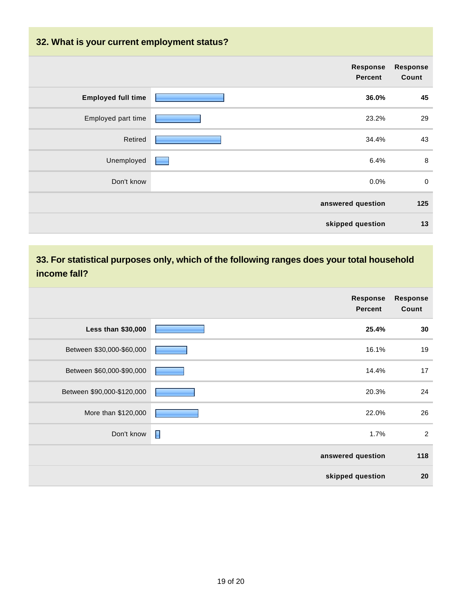### **32. What is your current employment status?**

|                           | Response<br><b>Percent</b> | Response<br>Count |
|---------------------------|----------------------------|-------------------|
| <b>Employed full time</b> | 36.0%                      | 45                |
| Employed part time        | 23.2%                      | 29                |
| Retired                   | 34.4%                      | 43                |
| Unemployed                | 6.4%                       | 8                 |
| Don't know                | 0.0%                       | $\mathbf 0$       |
|                           | answered question          | 125               |
|                           | skipped question           | 13                |

## **33. For statistical purposes only, which of the following ranges does your total household income fall?**

|                            | Response<br><b>Percent</b> | <b>Response</b><br>Count |
|----------------------------|----------------------------|--------------------------|
| Less than \$30,000         | 25.4%                      | 30                       |
| Between \$30,000-\$60,000  | 16.1%                      | 19                       |
| Between \$60,000-\$90,000  | 14.4%                      | 17                       |
| Between \$90,000-\$120,000 | 20.3%                      | 24                       |
| More than \$120,000        | 22.0%                      | 26                       |
| Don't know                 | П<br>1.7%                  | 2                        |
|                            | answered question          | 118                      |
|                            | skipped question           | 20                       |